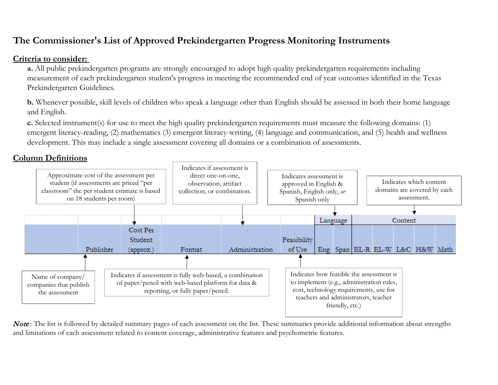# **The Commissioner's List of Approved Prekindergarten Progress Monitoring Instruments**

## **Criteria to consider:**

**a.** All public prekindergarten programs are strongly encouraged to adopt high quality prekindergarten requirements including measurement of each prekindergarten student's progress in meeting the recommended end of year outcomes identified in the Texas Prekindergarten Guidelines.

**b.** Whenever possible, skill levels of children who speak a language other than English should be assessed in both their home language and English.

**c.** Selected instrument(s) for use to meet the high quality prekindergarten requirements must measure the following domains: (1) emergent literacy-reading, (2) mathematics (3) emergent literacy-writing, (4) language and communication, and (5) health and wellness development. This may include a single assessment covering all domains or a combination of assessments.

## **Column Definitions**



Note: The list is followed by detailed summary pages of each assessment on the list. These summaries provide additional information about strengths and limitations of each assessment related to content coverage, administrative features and psychometric features.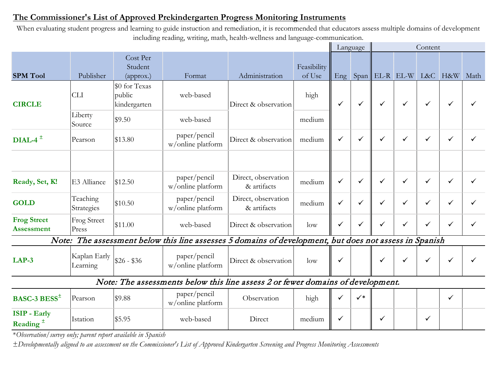### **The Commissioner's List of Approved Prekindergarten Progress Monitoring Instruments**

When evaluating student progress and learning to guide instuction and remediation, it is recommended that educators assess multiple domains of development

|                                                |                                 |                                                   |                                   | including reading, writing, math, health-wellness and language-communication.                          |                       |              |                |   |                                     |              |              |      |
|------------------------------------------------|---------------------------------|---------------------------------------------------|-----------------------------------|--------------------------------------------------------------------------------------------------------|-----------------------|--------------|----------------|---|-------------------------------------|--------------|--------------|------|
|                                                |                                 |                                                   |                                   |                                                                                                        |                       |              | Language       |   |                                     | Content      |              |      |
| <b>SPM Tool</b>                                | Publisher                       | Cost Per<br>Student<br>(approx.)                  | Format                            | Administration                                                                                         | Feasibility<br>of Use |              |                |   | Eng $Span \mid EL-R \mid EL-W \mid$ |              | L&C H&W      | Math |
| <b>CIRCLE</b>                                  | <b>CLI</b><br>Liberty<br>Source | \$0 for Texas<br>public<br>kindergarten<br>\$9.50 | web-based<br>web-based            | Direct & observation                                                                                   | high<br>medium        | ✓            | ✓              | ✓ | $\checkmark$                        | $\checkmark$ | $\checkmark$ |      |
| $DIAL-4^{\pm}$                                 | Pearson                         | \$13.80                                           | paper/pencil<br>w/online platform | Direct & observation                                                                                   | medium                | $\checkmark$ | $\checkmark$   | ✓ | $\checkmark$                        | ✓            | $\checkmark$ | ✓    |
| Ready, Set, K!                                 | E3 Alliance                     | \$12.50                                           | paper/pencil<br>w/online platform | Direct, observation<br>& artifacts                                                                     | medium                | ✓            | ✓              | ✓ | ✓                                   | ✓            | $\checkmark$ |      |
| <b>GOLD</b>                                    | Teaching<br>Strategies          | \$10.50                                           | paper/pencil<br>w/online platform | Direct, observation<br>& artifacts                                                                     | medium                | $\checkmark$ | ✓              | ✓ | $\checkmark$                        | $\checkmark$ | $\checkmark$ |      |
| <b>Frog Street</b><br><b>Assessment</b>        | <b>Frog Street</b><br>Press     | \$11.00                                           | web-based                         | Direct & observation                                                                                   | low                   | ✓            | ✓              | ✓ | $\checkmark$                        | $\checkmark$ | $\checkmark$ |      |
|                                                |                                 |                                                   |                                   | Note: The assessment below this line assesses 5 domains of development, but does not assess in Spanish |                       |              |                |   |                                     |              |              |      |
| $LAP-3$                                        | Kaplan Early<br>Learning        | $$26 - $36$                                       | paper/pencil<br>w/online platform | Direct & observation                                                                                   | low                   | ✓            |                | ✓ | $\checkmark$                        | ✓            | ✓            | ✓    |
|                                                |                                 |                                                   |                                   | Note: The assessments below this line assess 2 or fewer domains of development.                        |                       |              |                |   |                                     |              |              |      |
| <b>BASC-3 BESS</b> <sup><math>\pm</math></sup> | Pearson                         | \$9.88                                            | paper/pencil<br>w/online platform | Observation                                                                                            | high                  | $\checkmark$ | $\checkmark^*$ |   |                                     |              | $\checkmark$ |      |
| <b>ISIP</b> - Early<br>Reading $\pm$           | Istation                        | \$5.95                                            | web-based                         | Direct                                                                                                 | medium                | ✓            |                | ✓ |                                     | ✓            |              |      |

\**Observation/survey only; parent report available in Spanish*

±*Developmentally aligned to an assessment on the Commissioner's List of Approved Kindergarten Screening and Progress Monitoring Assessments*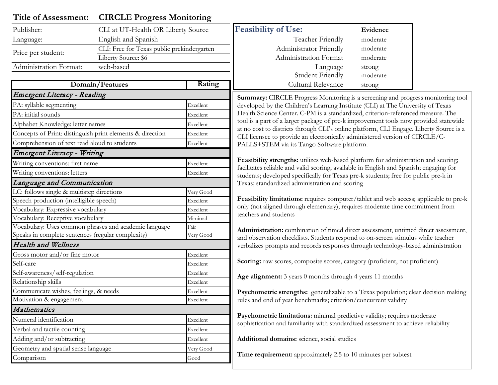|  | Title of Assessment: CIRCLE Progress Monitoring |
|--|-------------------------------------------------|
|--|-------------------------------------------------|

| Publisher:             | CLI at UT-Health OR Liberty Source         |
|------------------------|--------------------------------------------|
| Language:              | English and Spanish                        |
| Price per student:     | CLI: Free for Texas public prekindergarten |
|                        | Liberty Source: \$6                        |
| Administration Format: | web-based                                  |

| Domain/Features                                           | Rating    |
|-----------------------------------------------------------|-----------|
| Emergent Literacy - Reading                               |           |
| PA: syllable segmenting                                   | Excellent |
| PA: initial sounds                                        | Excellent |
| Alphabet Knowledge: letter names                          | Excellent |
| Concepts of Print: distinguish print elements & direction | Excellent |
| Comprehension of text read aloud to students              | Excellent |
| Emergent Literacy - Writing                               |           |
| Writing conventions: first name                           | Excellent |
| Writing conventions: letters                              | Excellent |
| Language and Communication                                |           |
| LC: follows single $\&$ multistep directions              | Very Good |
| Speech production (intelligible speech)                   | Excellent |
| Vocabulary: Expressive vocabulary                         | Excellent |
| Vocabulary: Receptive vocabulary                          | Mimimal   |
| Vocabulary: Uses common phrases and academic language     | Fair      |
| Speaks in complete sentences (regular complexity)         | Very Good |
| <b>Health and Wellness</b>                                |           |
| Gross motor and/or fine motor                             | Excellent |
| Self-care                                                 | Excellent |
| Self-awareness/self-regulation                            | Excellent |
| Relationship skills                                       | Excellent |
| Communicate wishes, feelings, & needs                     | Excellent |
| Motivation & engagement                                   | Excellent |
| Mathematics                                               |           |
| Numeral identification                                    | Excellent |
| Verbal and tactile counting                               | Excellent |
| Adding and/or subtracting                                 | Excellent |
| Geometry and spatial sense language                       | Very Good |
| Comparison                                                | Good      |

| ırce   | <b>Feasibility of Use:</b> | Evidence |
|--------|----------------------------|----------|
|        | Teacher Friendly           | moderate |
| garten | Administrator Friendly     | moderate |
|        | Administration Format      | moderate |
|        | Language                   | strong   |
|        | <b>Student Friendly</b>    | moderate |
| Rating | Cultural Relevance         | strong   |

 **Summary:** CIRCLE Progress Monitoring is a screening and progress monitoring tool developed by the Children's Learning Institute (CLI) at The University of Texas Health Science Center. C-PM is a standardized, criterion-referenced measure. The tool is a part of a larger package of pre-k improvement tools now provided statewide at no cost to districts through CLI's online platform, CLI Engage. Liberty Source is a PALLS+STEM via its Tango Software platform. CLI licensee to provide an electronically administered version of CIRCLE/C-

 **Feasibility strengths:** utilizes web-based platform for administration and scoring; facilitates reliable and valid scoring; available in English and Spanish; engaging for students; developed specifically for Texas pre-k students; free for public pre-k in Texas; standardized administration and scoring

 **Feasibility limitations:** requires computer/tablet and web access; applicable to pre-k only (not aligned through elementary); requires moderate time commitment from teachers and students

 and observation checklists. Students respond to on-screen stimulus while teacher verbalizes prompts and records responses through technology-based administration **Administration:** combination of timed direct assessment, untimed direct assessment,

**Scoring:** raw scores, composite scores, category (proficient, not proficient)

**Age alignment:** 3 years 0 months through 4 years 11 months

Psychometric strengths: generalizable to a Texas population; clear decision making rules and end of year benchmarks; criterion/concurrent validity

 **Psychometric limitations:** minimal predictive validity; requires moderate sophistication and familiarity with standardized assessment to achieve reliability

**Additional domains:** science, social studies

**Time requirement:** approximately 2.5 to 10 minutes per subtest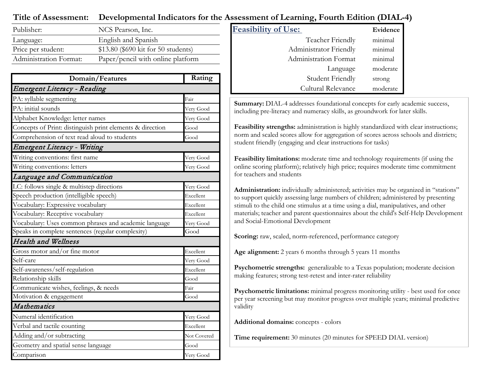### **Title of Assessment: Developmental Indicators for the Assessment of Learning, Fourth Edition (DIAL-4)**

| Publisher:             | NCS Pearson, Inc.                    | <b>Feasibility of Use:</b> |                        | Evidence |
|------------------------|--------------------------------------|----------------------------|------------------------|----------|
| Language:              | English and Spanish                  |                            | Teacher Friendly       | minimal  |
| Price per student:     | $$13.80$ (\$690 kit for 50 students) |                            | Administrator Friendly | minimal  |
| Administration Format: | Paper/pencil with online platform    |                            | Administration Format  | minimal  |

| Domain/Features                                           | Rating      |
|-----------------------------------------------------------|-------------|
| Emergent Literacy - Reading                               |             |
| PA: syllable segmenting                                   | Fair        |
| PA: initial sounds                                        | Very Good   |
| Alphabet Knowledge: letter names                          | Very Good   |
| Concepts of Print: distinguish print elements & direction | Good        |
| Comprehension of text read aloud to students              | Good        |
| Emergent Literacy - Writing                               |             |
| Writing conventions: first name                           | Very Good   |
| Writing conventions: letters                              | Very Good   |
| Language and Communication                                |             |
| LC: follows single & multistep directions                 | Very Good   |
| Speech production (intelligible speech)                   | Excellent   |
| Vocabulary: Expressive vocabulary                         | Excellent   |
| Vocabulary: Receptive vocabulary                          | Excellent   |
| Vocabulary: Uses common phrases and academic language     | Very Good   |
| Speaks in complete sentences (regular complexity)         | Good        |
| <b>Health and Wellness</b>                                |             |
| Gross motor and/or fine motor                             | Excellent   |
| Self-care                                                 | Very Good   |
| Self-awareness/self-regulation                            | Excellent   |
| Relationship skills                                       | Good        |
| Communicate wishes, feelings, & needs                     | Fair        |
| Motivation & engagement                                   | Good        |
| Mathematics                                               |             |
| Numeral identification                                    | Very Good   |
| Verbal and tactile counting                               | Excellent   |
| Adding and/or subtracting                                 | Not Covered |
| Geometry and spatial sense language                       | Good        |
| Comparison                                                | Very Good   |

| <u>ility of Use:</u>    | Evidence |
|-------------------------|----------|
| Teacher Friendly        | minimal  |
| Administrator Friendly  | minimal  |
| Administration Format   | minimal  |
| Language                | moderate |
| <b>Student Friendly</b> | strong   |
| Cultural Relevance      | moderate |

 **Summary:** DIAL-4 addresses foundational concepts for early academic success, including pre-literacy and numeracy skills, as groundwork for later skills.

 **Feasibility strengths:** administration is highly standardized with clear instructions; norm and scaled scores allow for aggregation of scores across schools and districts; student friendly (engaging and clear instructions for tasks)

 **Feasibility limitations:** moderate time and technology requirements (if using the online scoring platform); relatively high price; requires moderate time commitment for teachers and students

 to support quickly assessing large numbers of children; administered by presenting stimuli to the child one stimulus at a time using a dial, manipulatives, and other materials; teacher and parent questionnaires about the child's Self-Help Development **Administration:** individually administered; activities may be organized in "stations" and Social-Emotional Development

**Scoring:** raw, scaled, norm-referenced, performance category

**Age alignment:** 2 years 6 months through 5 years 11 months

Psychometric strengths: generalizable to a Texas population; moderate decision making features; strong test-retest and inter-rater reliability

 per year screening but may monitor progress over multiple years; minimal predictive validity **Psychometric limitations:** minimal progress monitoring utility - best used for once

**Additional domains:** concepts - colors

**Time requirement:** 30 minutes (20 minutes for SPEED DIAL version)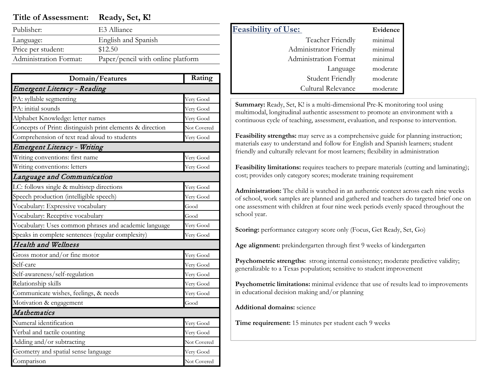**Title of Assessment: Ready, Set, K!** 

| Publisher:             | E3 Alliance                       |
|------------------------|-----------------------------------|
| Language:              | English and Spanish               |
| Price per student:     | \$12.50                           |
| Administration Format: | Paper/pencil with online platform |

| Domain/Features                                           | Rating      |
|-----------------------------------------------------------|-------------|
| Emergent Literacy - Reading                               |             |
| PA: syllable segmenting                                   | Very Good   |
| PA: initial sounds                                        | Very Good   |
| Alphabet Knowledge: letter names                          | Very Good   |
| Concepts of Print: distinguish print elements & direction | Not Covered |
| Comprehension of text read aloud to students              | Very Good   |
| Emergent Literacy - Writing                               |             |
| Writing conventions: first name                           | Very Good   |
| Writing conventions: letters                              | Very Good   |
| Language and Communication                                |             |
| LC: follows single & multistep directions                 | Very Good   |
| Speech production (intelligible speech)                   | Very Good   |
| Vocabulary: Expressive vocabulary                         | Good        |
| Vocabulary: Receptive vocabulary                          | Good        |
| Vocabulary: Uses common phrases and academic language     | Very Good   |
| Speaks in complete sentences (regular complexity)         | Very Good   |
| <b>Health and Wellness</b>                                |             |
| Gross motor and/or fine motor                             | Very Good   |
| Self-care                                                 | Very Good   |
| Self-awareness/self-regulation                            | Very Good   |
| Relationship skills                                       | Very Good   |
| Communicate wishes, feelings, & needs                     | Very Good   |
| Motivation & engagement                                   | Good        |
| Mathematics                                               |             |
| Numeral identification                                    | Very Good   |
| Verbal and tactile counting                               | Very Good   |
| Adding and/or subtracting                                 | Not Covered |
| Geometry and spatial sense language                       | Very Good   |
| Comparison                                                | Not Covered |

| <b>Feasibility of Use:</b> | Evidence |
|----------------------------|----------|
| Teacher Friendly           | minimal  |
| Administrator Friendly     | minimal  |
| Administration Format      | minimal  |
| Language                   | moderate |
| <b>Student Friendly</b>    | moderate |
| Cultural Relevance         | moderate |

 **Summary:** Ready, Set, K! is a multi-dimensional Pre-K monitoring tool using continuous cycle of teaching, assessment, evaluation, and response to intervention. multimodal, longitudinal authentic assessment to promote an environment with a

 **Feasibility strengths:** may serve as a comprehensive guide for planning instruction; materials easy to understand and follow for English and Spanish learners; student friendly and culturally relevant for most learners; flexibility in administration

 **Feasibility limitations:** requires teachers to prepare materials (cutting and laminating); cost; provides only category scores; moderate training requirement

 **Administration:** The child is watched in an authentic context across each nine weeks of school, work samples are planned and gathered and teachers do targeted brief one on one assessment with children at four nine week periods evenly spaced throughout the school year.

Scoring: performance category score only (Focus, Get Ready, Set, Go)

**Age alignment:** prekindergarten through first 9 weeks of kindergarten

Psychometric strengths: strong internal consistency; moderate predictive validity; generalizable to a Texas population; sensitive to student improvement

 **Psychometric limitations:** minimal evidence that use of results lead to improvements in educational decision making and/or planning

**Additional domains:** science

**Time requirement:** 15 minutes per student each 9 weeks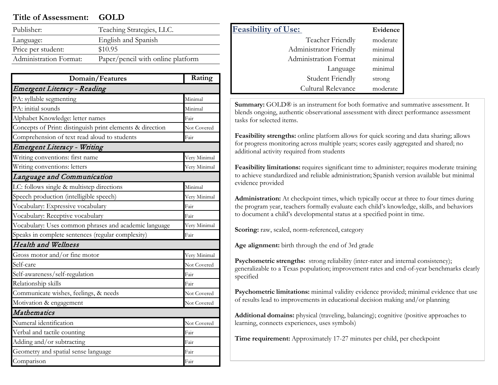#### **Title of Assessment: GOLD**

| nent: | GOLI |  |
|-------|------|--|
|       |      |  |

| Publisher:             | Teaching Strategies, LLC.         |
|------------------------|-----------------------------------|
| Language:              | English and Spanish               |
| Price per student:     | \$10.95                           |
| Administration Format: | Paper/pencil with online platform |
|                        |                                   |

| Domain/Features                                           | Rating       |  |
|-----------------------------------------------------------|--------------|--|
| Emergent Literacy - Reading                               |              |  |
| PA: syllable segmenting                                   | Minimal      |  |
| PA: initial sounds                                        | Minimal      |  |
| Alphabet Knowledge: letter names                          | Fair         |  |
| Concepts of Print: distinguish print elements & direction | Not Covered  |  |
| Comprehension of text read aloud to students              | Fair         |  |
| Emergent Literacy - Writing                               |              |  |
| Writing conventions: first name                           | Very Minimal |  |
| Writing conventions: letters                              | Very Minimal |  |
| Language and Communication                                |              |  |
| LC: follows single & multistep directions                 | Minimal      |  |
| Speech production (intelligible speech)                   | Very Minimal |  |
| Vocabulary: Expressive vocabulary                         | Fair         |  |
| Vocabulary: Receptive vocabulary                          | Fair         |  |
| Vocabulary: Uses common phrases and academic language     | Very Minimal |  |
| Speaks in complete sentences (regular complexity)         | Fair         |  |
| <b>Health and Wellness</b>                                |              |  |
| Gross motor and/or fine motor                             | Very Minimal |  |
| Self-care                                                 | Not Covered  |  |
| Self-awareness/self-regulation                            | Fair         |  |
| Relationship skills                                       | Fair         |  |
| Communicate wishes, feelings, & needs                     | Not Covered  |  |
| Motivation & engagement                                   | Not Covered  |  |
| Mathematics                                               |              |  |
| Numeral identification                                    | Not Covered  |  |
| Verbal and tactile counting                               | Fair         |  |
| Adding and/or subtracting                                 | Fair         |  |
| Geometry and spatial sense language                       | Fair         |  |
| Comparison                                                | Fair         |  |

| <b>Feasibility of Use:</b> | Evidence |
|----------------------------|----------|
| Teacher Friendly           | moderate |
| Administrator Friendly     | minimal  |
| Administration Format      | minimal  |
| Language                   | minimal  |
| <b>Student Friendly</b>    | strong   |
| Cultural Relevance         | moderate |

 **Summary:** GOLD® is an instrument for both formative and summative assessment. It blends ongoing, authentic observational assessment with direct performance assessment tasks for selected items.

 **Feasibility strengths:** online platform allows for quick scoring and data sharing; allows for progress monitoring across multiple years; scores easily aggregated and shared; no additional activity required from students

 **Feasibility limitations:** requires significant time to administer; requires moderate training to achieve standardized and reliable administration; Spanish version available but minimal evidence provided

 **Administration:** At checkpoint times, which typically occur at three to four times during the program year, teachers formally evaluate each child's knowledge, skills, and behaviors to document a child's developmental status at a specified point in time.

**Scoring:** raw, scaled, norm-referenced, category

**Age alignment:** birth through the end of 3rd grade

 **Psychometric strengths:** strong reliability (inter-rater and internal consistency); generalizable to a Texas population; improvement rates and end-of-year benchmarks clearly specified

 **Psychometric limitations:** minimal validity evidence provided; minimal evidence that use of results lead to improvements in educational decision making and/or planning

 **Additional domains:** physical (traveling, balancing); cognitive (positive approaches to learning, connects experiences, uses symbols)

**Time requirement:** Approximately 17-27 minutes per child, per checkpoint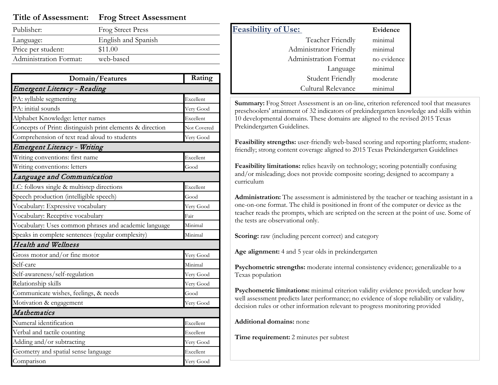#### **Title of Assessment: Frog Street Assessment**

| <b>Frog Street Press</b> |
|--------------------------|
| English and Spanish      |
| \$11.00                  |
| web-based                |
|                          |

| Domain/Features                                           | Rating      |  |
|-----------------------------------------------------------|-------------|--|
| Emergent Literacy - Reading                               |             |  |
| PA: syllable segmenting                                   | Excellent   |  |
| PA: initial sounds                                        | Very Good   |  |
| Alphabet Knowledge: letter names                          | Excellent   |  |
| Concepts of Print: distinguish print elements & direction | Not Covered |  |
| Comprehension of text read aloud to students              | Very Good   |  |
| Emergent Literacy - Writing                               |             |  |
| Writing conventions: first name                           | Excellent   |  |
| Writing conventions: letters                              | Good        |  |
| Language and Communication                                |             |  |
| LC: follows single & multistep directions                 | Excellent   |  |
| Speech production (intelligible speech)                   | Good        |  |
| Vocabulary: Expressive vocabulary                         | Very Good   |  |
| Vocabulary: Receptive vocabulary                          | Fair        |  |
| Vocabulary: Uses common phrases and academic language     | Minimal     |  |
| Speaks in complete sentences (regular complexity)         | Minimal     |  |
| <b>Health and Wellness</b>                                |             |  |
| Gross motor and/or fine motor                             | Very Good   |  |
| Self-care                                                 | Minimal     |  |
| Self-awareness/self-regulation                            | Very Good   |  |
| Relationship skills                                       | Very Good   |  |
| Communicate wishes, feelings, & needs                     | Good        |  |
| Motivation & engagement                                   | Very Good   |  |
| Mathematics                                               |             |  |
| Numeral identification                                    | Excellent   |  |
| Verbal and tactile counting                               | Excellent   |  |
| Adding and/or subtracting                                 | Very Good   |  |
| Geometry and spatial sense language                       | Excellent   |  |
| Comparison                                                | Very Good   |  |

| <b>Feasibility of Use:</b> | Evidence    |
|----------------------------|-------------|
| Teacher Friendly           | minimal     |
| Administrator Friendly     | minimal     |
| Administration Format      | no evidence |
| Language                   | minimal     |
| <b>Student Friendly</b>    | moderate    |
| Cultural Relevance         | minimal     |

 **Summary:** Frog Street Assessment is an on-line, criterion referenced tool that measures preschoolers' attainment of 32 indicators of prekindergarten knowledge and skills within 10 developmental domains. These domains are aligned to the revised 2015 Texas Prekindergarten Guidelines.

 **Feasibility strengths:** user-friendly web-based scoring and reporting platform; student-friendly; strong content coverage aligned to 2015 Texas Prekindergarten Guidelines

 and/or misleading; does not provide composite scoring; designed to accompany a Feasibility limitations: relies heavily on technology; scoring potentially confusing curriculum

 **Administration:** The assessment is administered by the teacher or teaching assistant in a one-on-one format. The child is positioned in front of the computer or device as the teacher reads the prompts, which are scripted on the screen at the point of use. Some of the tests are observational only.

Scoring: raw (including percent correct) and category

**Age alignment:** 4 and 5 year olds in prekindergarten

 **Psychometric strengths:** moderate internal consistency evidence; generalizable to a Texas population

 **Psychometric limitations:** minimal criterion validity evidence provided; unclear how well assessment predicts later performance; no evidence of slope reliability or validity, decision rules or other information relevant to progress monitoring provided

**Additional domains:** none

**Time requirement:** 2 minutes per subtest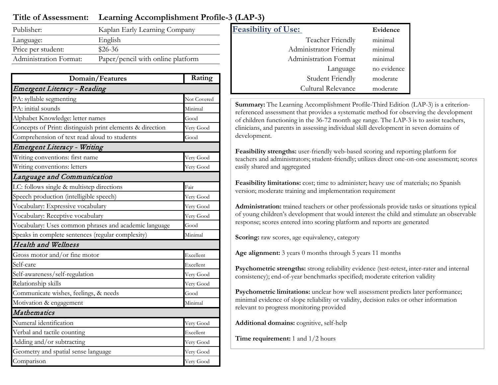## **Title of Assessment: Learning Accomplishment Profile-3 (LAP-3)**

| Publisher:             | Kaplan Early Learning Company     | <b>Feasibility of Use:</b> | Evidence |
|------------------------|-----------------------------------|----------------------------|----------|
| Language:              | English                           | Teacher Friendly           | minimal  |
| Price per student:     | \$26-36                           | Administrator Friendly     | minimal  |
| Administration Format: | Paper/pencil with online platform | Administration Format      | minimal  |

| Domain/Features                                           | Rating      |  |
|-----------------------------------------------------------|-------------|--|
| Emergent Literacy - Reading                               |             |  |
| PA: syllable segmenting                                   | Not Covered |  |
| PA: initial sounds                                        | Minimal     |  |
| Alphabet Knowledge: letter names                          | Good        |  |
| Concepts of Print: distinguish print elements & direction | Very Good   |  |
| Comprehension of text read aloud to students              | Good        |  |
| Emergent Literacy - Writing                               |             |  |
| Writing conventions: first name                           | Very Good   |  |
| Writing conventions: letters                              | Very Good   |  |
| Language and Communication                                |             |  |
| LC: follows single & multistep directions                 | Fair        |  |
| Speech production (intelligible speech)                   | Very Good   |  |
| Vocabulary: Expressive vocabulary                         | Very Good   |  |
| Vocabulary: Receptive vocabulary                          | Very Good   |  |
| Vocabulary: Uses common phrases and academic language     | Good        |  |
| Speaks in complete sentences (regular complexity)         | Minimal     |  |
| <b>Health and Wellness</b>                                |             |  |
| Gross motor and/or fine motor                             | Excellent   |  |
| Self-care                                                 | Excellent   |  |
| Self-awareness/self-regulation                            | Very Good   |  |
| Relationship skills                                       | Very Good   |  |
| Communicate wishes, feelings, & needs                     | Good        |  |
| Motivation & engagement                                   | Minimal     |  |
| Mathematics                                               |             |  |
| Numeral identification                                    | Very Good   |  |
| Verbal and tactile counting                               | Excellent   |  |
| Adding and/or subtracting                                 | Very Good   |  |
| Geometry and spatial sense language                       | Very Good   |  |
| Comparison                                                | Very Good   |  |

| <u>Feasibility of Use:</u> | Evidence    |
|----------------------------|-------------|
| Teacher Friendly           | minimal     |
| Administrator Friendly     | minimal     |
| Administration Format      | minimal     |
| Language                   | no evidence |
| <b>Student Friendly</b>    | moderate    |
| Cultural Relevance         | moderate    |

 **Summary:** The Learning Accomplishment Profile-Third Edition (LAP-3) is a criterion- referenced assessment that provides a systematic method for observing the development of children functioning in the 36-72 month age range. The LAP-3 is to assist teachers, clinicians, and parents in assessing individual skill development in seven domains of development.

 **Feasibility strengths:** user-friendly web-based scoring and reporting platform for teachers and administrators; student-friendly; utilizes direct one-on-one assessment; scores easily shared and aggregated

 **Feasibility limitations:** cost; time to administer; heavy use of materials; no Spanish version; moderate training and implementation requirement

 **Administration:** trained teachers or other professionals provide tasks or situations typical of young children's development that would interest the child and stimulate an observable response; scores entered into scoring platform and reports are generated

**Scoring:** raw scores, age equivalency, category

**Age alignment:** 3 years 0 months through 5 years 11 months

 **Psychometric strengths:** strong reliability evidence (test-retest, inter-rater and internal consistency); end-of-year benchmarks specified; moderate criterion validity

 **Psychometric limitations:** unclear how well assessment predicts later performance; minimal evidence of slope reliability or validity, decision rules or other information relevant to progress monitoring provided

**Additional domains:** cognitive, self-help

**Time requirement:** 1 and  $1/2$  hours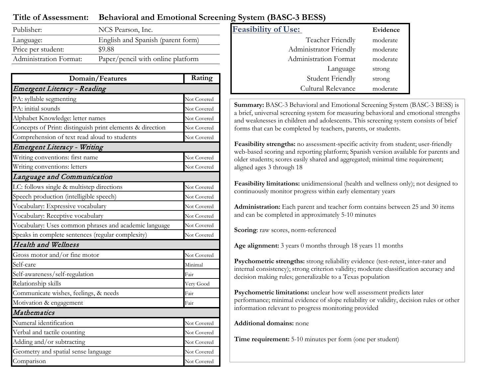### **Title of Assessment: Behavioral and Emotional Screening System (BASC-3 BESS)**

| Publisher:             | NCS Pearson, Inc.                 | <b>Feasibility of Use:</b> | Evidence |
|------------------------|-----------------------------------|----------------------------|----------|
| Language:              | English and Spanish (parent form) | Teacher Friendly           | moderate |
| Price per student:     | \$9.88                            | Administrator Friendly     | moderate |
| Administration Format: | Paper/pencil with online platform | Administration Format      | moderate |

| Domain/Features                                           | Rating      |  |
|-----------------------------------------------------------|-------------|--|
| Emergent Literacy - Reading                               |             |  |
| PA: syllable segmenting                                   | Not Covered |  |
| PA: initial sounds                                        | Not Covered |  |
| Alphabet Knowledge: letter names                          | Not Covered |  |
| Concepts of Print: distinguish print elements & direction | Not Covered |  |
| Comprehension of text read aloud to students              | Not Covered |  |
| Emergent Literacy - Writing                               |             |  |
| Writing conventions: first name                           | Not Covered |  |
| Writing conventions: letters                              | Not Covered |  |
| Language and Communication                                |             |  |
| LC: follows single & multistep directions                 | Not Covered |  |
| Speech production (intelligible speech)                   | Not Covered |  |
| Vocabulary: Expressive vocabulary                         | Not Covered |  |
| Vocabulary: Receptive vocabulary                          | Not Covered |  |
| Vocabulary: Uses common phrases and academic language     | Not Covered |  |
| Speaks in complete sentences (regular complexity)         | Not Covered |  |
| <b>Health and Wellness</b>                                |             |  |
| Gross motor and/or fine motor                             | Not Covered |  |
| Self-care                                                 | Minimal     |  |
| Self-awareness/self-regulation                            | Fair        |  |
| Relationship skills                                       | Very Good   |  |
| Communicate wishes, feelings, & needs                     | Fair        |  |
| Motivation & engagement                                   | Fair        |  |
| Mathematics                                               |             |  |
| Numeral identification                                    | Not Covered |  |
| Verbal and tactile counting                               | Not Covered |  |
| Adding and/or subtracting                                 | Not Covered |  |
| Geometry and spatial sense language                       | Not Covered |  |
| Comparison                                                | Not Covered |  |

| <u>Feasibility of Use:</u> | Evidence |
|----------------------------|----------|
| Teacher Friendly           | moderate |
| Administrator Friendly     | moderate |
| Administration Format      | moderate |
| Language                   | strong   |
| <b>Student Friendly</b>    | strong   |
| Cultural Relevance         | moderate |

 a brief, universal screening system for measuring behavioral and emotional strengths and weaknesses in children and adolescents. This screening system consists of brief **Summary:** BASC-3 Behavioral and Emotional Screening System (BASC-3 BESS) is forms that can be completed by teachers, parents, or students.

 **Feasibility strengths:** no assessment-specific activity from student; user-friendly web-based scoring and reporting platform; Spanish version available for parents and older students; scores easily shared and aggregated; minimal time requirement; aligned ages 3 through 18

 continuously monitor progress within early elementary years **Feasibility limitations:** unidimensional (health and wellness only); not designed to

**Administration:** Each parent and teacher form contains between 25 and 30 items and can be completed in approximately 5-10 minutes

**Scoring**: raw scores, norm-referenced

**Age alignment:** 3 years 0 months through 18 years 11 months

 internal consistency); strong criterion validity; moderate classification accuracy and decision making rules; generalizable to a Texas population **Psychometric strengths:** strong reliability evidence (test-retest, inter-rater and

 **Psychometric limitations:** unclear how well assessment predicts later performance; minimal evidence of slope reliability or validity, decision rules or other information relevant to progress monitoring provided

**Additional domains:** none

**Time requirement:** 5-10 minutes per form (one per student)